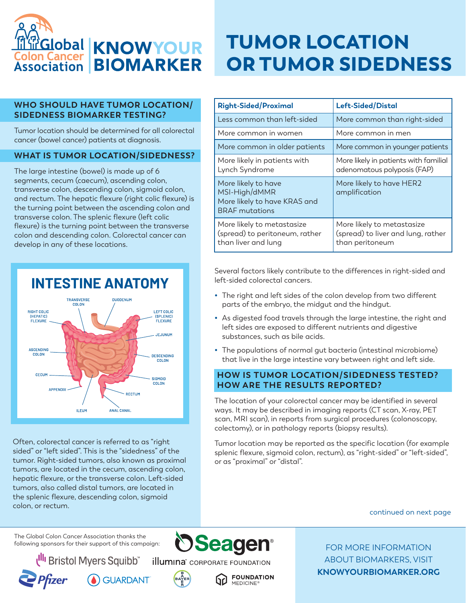

#### **WHO SHOULD HAVE TUMOR LOCATION/ SIDEDNESS BIOMARKER TESTING?**

Tumor location should be determined for all colorectal cancer (bowel cancer) patients at diagnosis.

### **WHAT IS TUMOR LOCATION/SIDEDNESS?**

The large intestine (bowel) is made up of 6 segments, cecum (caecum), ascending colon, transverse colon, descending colon, sigmoid colon, and rectum. The hepatic flexure (right colic flexure) is the turning point between the ascending colon and transverse colon. The splenic flexure (left colic flexure) is the turning point between the transverse colon and descending colon. Colorectal cancer can develop in any of these locations.



Often, colorectal cancer is referred to as "right sided" or "left sided". This is the "sidedness" of the tumor. Right-sided tumors, also known as proximal tumors, are located in the cecum, ascending colon, hepatic flexure, or the transverse colon. Left-sided tumors, also called distal tumors, are located in the splenic flexure, descending colon, sigmoid colon, or rectum.

# TUMOR LOCATION OR TUMOR SIDEDNESS

| <b>Right-Sided/Proximal</b>                                                                   | Left-Sided/Distal                                                                   |
|-----------------------------------------------------------------------------------------------|-------------------------------------------------------------------------------------|
| Less common than left-sided                                                                   | More common than right-sided                                                        |
| More common in women                                                                          | More common in men                                                                  |
| More common in older patients                                                                 | More common in younger patients                                                     |
| More likely in patients with<br>Lynch Syndrome                                                | More likely in patients with familial<br>adenomatous polyposis (FAP)                |
| More likely to have<br>MSI-High/dMMR<br>More likely to have KRAS and<br><b>BRAF</b> mutations | More likely to have HER2<br>amplification                                           |
| More likely to metastasize<br>(spread) to peritoneum, rather<br>than liver and lung           | More likely to metastasize<br>(spread) to liver and lung, rather<br>than peritoneum |

Several factors likely contribute to the differences in right-sided and left-sided colorectal cancers.

- **•** The right and left sides of the colon develop from two different parts of the embryo, the midgut and the hindgut.
- **•** As digested food travels through the large intestine, the right and left sides are exposed to different nutrients and digestive substances, such as bile acids.
- **•** The populations of normal gut bacteria (intestinal microbiome) that live in the large intestine vary between right and left side.

#### **HOW IS TUMOR LOCATION/SIDEDNESS TESTED? HOW ARE THE RESULTS REPORTED?**

The location of your colorectal cancer may be identified in several ways. It may be described in imaging reports (CT scan, X-ray, PET scan, MRI scan), in reports from surgical procedures (colonoscopy, colectomy), or in pathology reports (biopsy results).

Tumor location may be reported as the specific location (for example splenic flexure, sigmoid colon, rectum), as "right-sided" or "left-sided", or as "proximal" or "distal".

continued on next page

The Global Colon Cancer Association thanks the following sponsors for their support of this campaign:

Bristol Myers Squibb"



**GUARDANT** 





**Seagen** 

FOR MORE INFORMATION ABOUT BIOMARKERS, VISIT **KNOWYOURBIOMARKER.ORG**